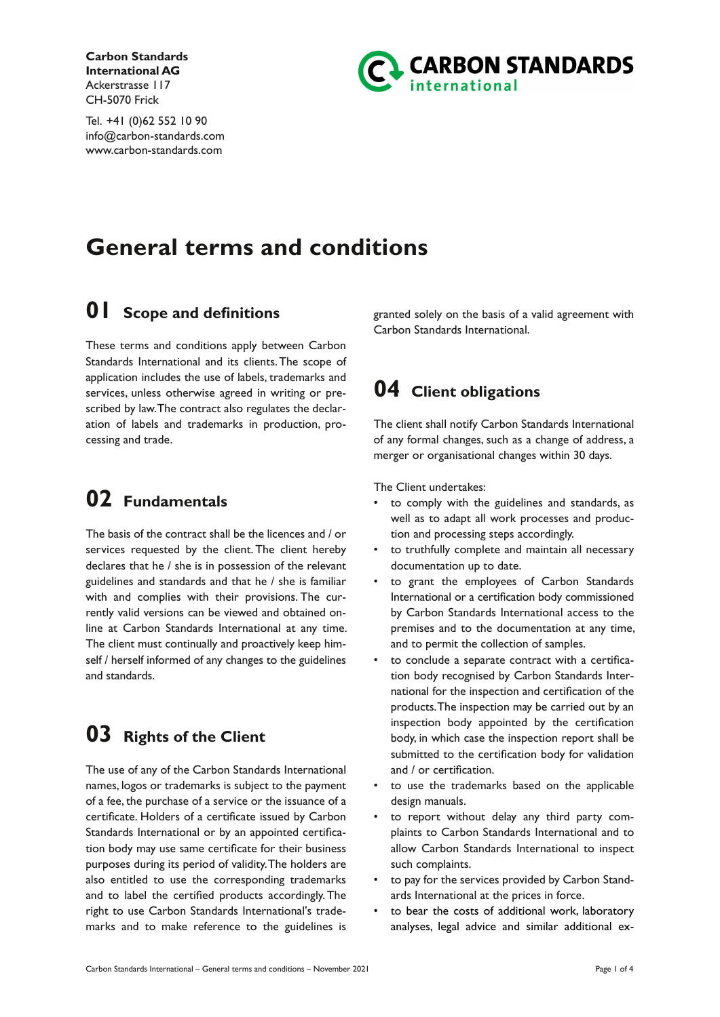**Carbon Standards International AG** Ackerstrasse 117 CH-5070 Frick

Tel. +41 (0)62 552 10 90 info@carbon-standards.com www.carbon-standards.com



# **General terms and conditions**

## **01 Scope and definitions**

These terms and conditions apply between Carbon Standards International and its clients.The scope of application includes the use of labels, trademarks and services, unless otherwise agreed in writing or prescribed by law.The contract also regulates the declaration of labels and trademarks in production, processing and trade.

### **02 Fundamentals**

The basis of the contract shall be the licences and / or services requested by the client. The client hereby declares that he / she is in possession of the relevant guidelines and standards and that he / she is familiar with and complies with their provisions. The currently valid versions can be viewed and obtained online at Carbon Standards International at any time. The client must continually and proactively keep himself / herself informed of any changes to the guidelines and standards.

## **03 Rights of the Client**

The use of any of the Carbon Standards International names, logos or trademarks is subject to the payment of a fee, the purchase of a service or the issuance of a certificate. Holders of a certificate issued by Carbon Standards International or by an appointed certification body may use same certificate for their business purposes during its period of validity.The holders are also entitled to use the corresponding trademarks and to label the certified products accordingly. The right to use Carbon Standards International's trademarks and to make reference to the guidelines is

granted solely on the basis of a valid agreement with Carbon Standards International.

## **04 Client obligations**

The client shall notify Carbon Standards International of any formal changes, such as a change of address, a merger or organisational changes within 30 days.

The Client undertakes:

- to comply with the guidelines and standards, as well as to adapt all work processes and production and processing steps accordingly.
- to truthfully complete and maintain all necessary documentation up to date.
- to grant the employees of Carbon Standards International or a certification body commissioned by Carbon Standards International access to the premises and to the documentation at any time, and to permit the collection of samples.
- to conclude a separate contract with a certification body recognised by Carbon Standards International for the inspection and certification of the products.The inspection may be carried out by an inspection body appointed by the certification body, in which case the inspection report shall be submitted to the certification body for validation and / or certification.
- to use the trademarks based on the applicable design manuals.
- to report without delay any third party complaints to Carbon Standards International and to allow Carbon Standards International to inspect such complaints.
- to pay for the services provided by Carbon Standards International at the prices in force.
- to bear the costs of additional work, laboratory analyses, legal advice and similar additional ex-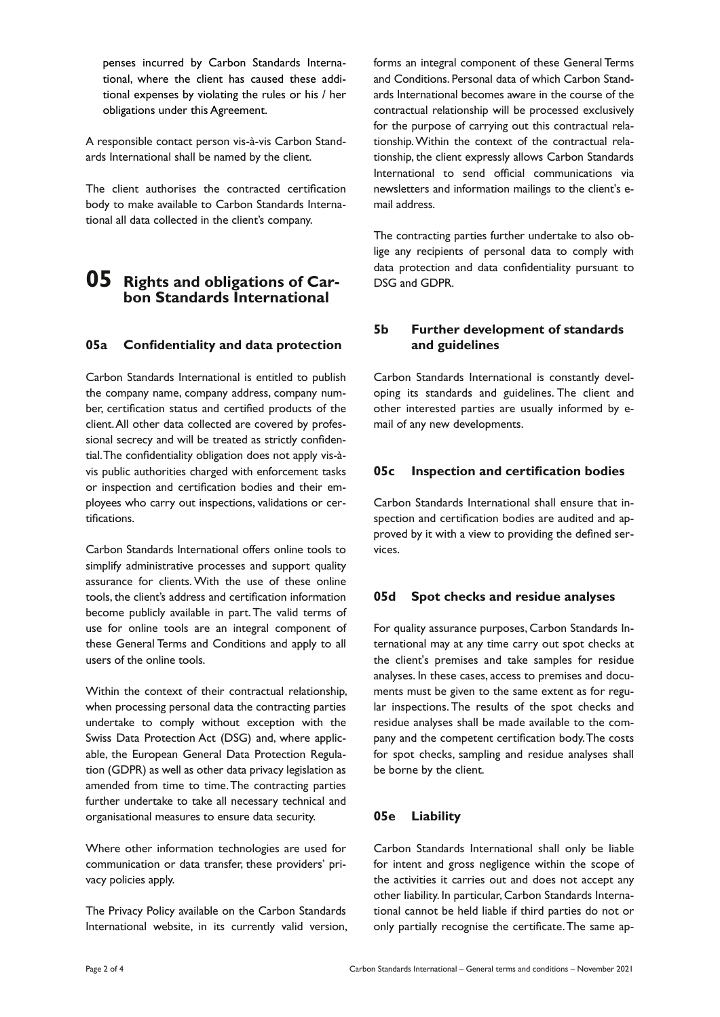penses incurred by Carbon Standards International, where the client has caused these additional expenses by violating the rules or his / her obligations under this Agreement.

A responsible contact person vis-à-vis Carbon Standards International shall be named by the client.

The client authorises the contracted certification body to make available to Carbon Standards International all data collected in the client's company.

### **05 Rights and obligations of Carbon Standards International**

#### **05a Confidentiality and data protection**

Carbon Standards International is entitled to publish the company name, company address, company number, certification status and certified products of the client.All other data collected are covered by professional secrecy and will be treated as strictly confidential.The confidentiality obligation does not apply vis-àvis public authorities charged with enforcement tasks or inspection and certification bodies and their employees who carry out inspections, validations or certifications.

Carbon Standards International offers online tools to simplify administrative processes and support quality assurance for clients. With the use of these online tools, the client's address and certification information become publicly available in part.The valid terms of use for online tools are an integral component of these General Terms and Conditions and apply to all users of the online tools.

Within the context of their contractual relationship, when processing personal data the contracting parties undertake to comply without exception with the Swiss Data Protection Act (DSG) and, where applicable, the European General Data Protection Regulation (GDPR) as well as other data privacy legislation as amended from time to time.The contracting parties further undertake to take all necessary technical and organisational measures to ensure data security.

Where other information technologies are used for communication or data transfer, these providers' privacy policies apply.

The Privacy Policy available on the Carbon Standards International website, in its currently valid version, forms an integral component of these General Terms and Conditions. Personal data of which Carbon Standards International becomes aware in the course of the contractual relationship will be processed exclusively for the purpose of carrying out this contractual relationship.Within the context of the contractual relationship, the client expressly allows Carbon Standards International to send official communications via newsletters and information mailings to the client's email address.

The contracting parties further undertake to also oblige any recipients of personal data to comply with data protection and data confidentiality pursuant to DSG and GDPR.

#### **5b Further development of standards and guidelines**

Carbon Standards International is constantly developing its standards and guidelines. The client and other interested parties are usually informed by email of any new developments.

#### **05c Inspection and certification bodies**

Carbon Standards International shall ensure that inspection and certification bodies are audited and approved by it with a view to providing the defined services.

#### **05d Spot checks and residue analyses**

For quality assurance purposes, Carbon Standards International may at any time carry out spot checks at the client's premises and take samples for residue analyses. In these cases, access to premises and documents must be given to the same extent as for regular inspections. The results of the spot checks and residue analyses shall be made available to the company and the competent certification body.The costs for spot checks, sampling and residue analyses shall be borne by the client.

#### **05e Liability**

Carbon Standards International shall only be liable for intent and gross negligence within the scope of the activities it carries out and does not accept any other liability. In particular, Carbon Standards International cannot be held liable if third parties do not or only partially recognise the certificate.The same ap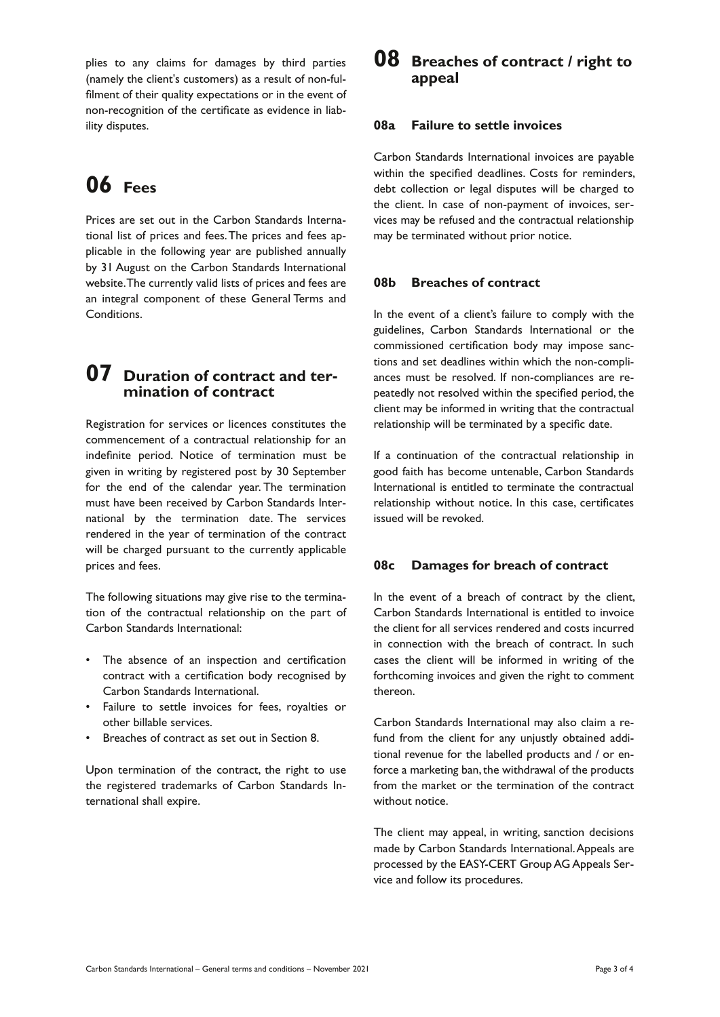plies to any claims for damages by third parties (namely the client's customers) as a result of non-fulfilment of their quality expectations or in the event of non-recognition of the certificate as evidence in liability disputes.

# **06 Fees**

Prices are set out in the Carbon Standards International list of prices and fees.The prices and fees applicable in the following year are published annually by 31 August on the Carbon Standards International website.The currently valid lists of prices and fees are an integral component of these General Terms and Conditions.

### **07 Duration of contract and termination of contract**

Registration for services or licences constitutes the commencement of a contractual relationship for an indefinite period. Notice of termination must be given in writing by registered post by 30 September for the end of the calendar year. The termination must have been received by Carbon Standards International by the termination date. The services rendered in the year of termination of the contract will be charged pursuant to the currently applicable prices and fees.

The following situations may give rise to the termination of the contractual relationship on the part of Carbon Standards International:

- The absence of an inspection and certification contract with a certification body recognised by Carbon Standards International.
- Failure to settle invoices for fees, royalties or other billable services.
- Breaches of contract as set out in Section 8.

Upon termination of the contract, the right to use the registered trademarks of Carbon Standards International shall expire.

### **08 Breaches of contract / right to appeal**

#### **08a Failure to settle invoices**

Carbon Standards International invoices are payable within the specified deadlines. Costs for reminders, debt collection or legal disputes will be charged to the client. In case of non-payment of invoices, services may be refused and the contractual relationship may be terminated without prior notice.

#### **08b Breaches of contract**

In the event of a client's failure to comply with the guidelines, Carbon Standards International or the commissioned certification body may impose sanctions and set deadlines within which the non-compliances must be resolved. If non-compliances are repeatedly not resolved within the specified period, the client may be informed in writing that the contractual relationship will be terminated by a specific date.

If a continuation of the contractual relationship in good faith has become untenable, Carbon Standards International is entitled to terminate the contractual relationship without notice. In this case, certificates issued will be revoked.

#### **08c Damages for breach of contract**

In the event of a breach of contract by the client, Carbon Standards International is entitled to invoice the client for all services rendered and costs incurred in connection with the breach of contract. In such cases the client will be informed in writing of the forthcoming invoices and given the right to comment thereon.

Carbon Standards International may also claim a refund from the client for any unjustly obtained additional revenue for the labelled products and / or enforce a marketing ban, the withdrawal of the products from the market or the termination of the contract without notice.

The client may appeal, in writing, sanction decisions made by Carbon Standards International.Appeals are processed by the EASY-CERT Group AG Appeals Service and follow its procedures.